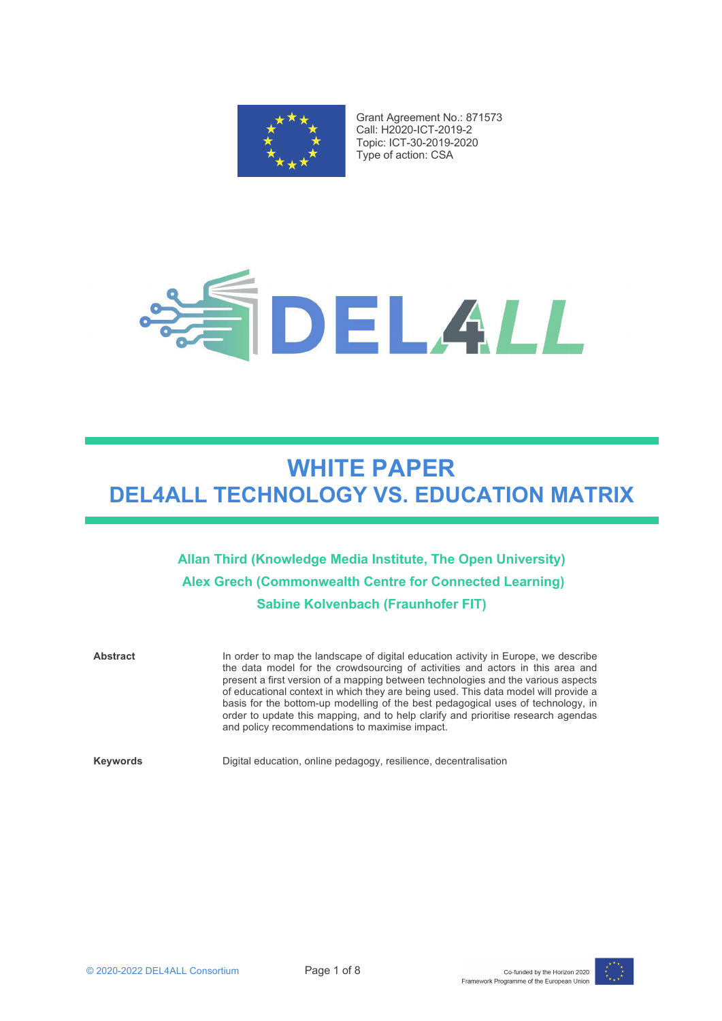

Grant Agreement No.: 871573 Call: H2020-ICT-2019-2 Topic: ICT-30-2019-2020 Type of action: CSA



# **WHITE PAPER DEL4ALL TECHNOLOGY VS. EDUCATION MATRIX**

**Allan Third (Knowledge Media Institute, The Open University) Alex Grech (Commonwealth Centre for Connected Learning) Sabine Kolvenbach (Fraunhofer FIT)**

Abstract In order to map the landscape of digital education activity in Europe, we describe the data model for the crowdsourcing of activities and actors in this area and present a first version of a mapping between technologies and the various aspects of educational context in which they are being used. This data model will provide a basis for the bottom-up modelling of the best pedagogical uses of technology, in order to update this mapping, and to help clarify and prioritise research agendas and policy recommendations to maximise impact. **Keywords** Digital education, online pedagogy, resilience, decentralisation

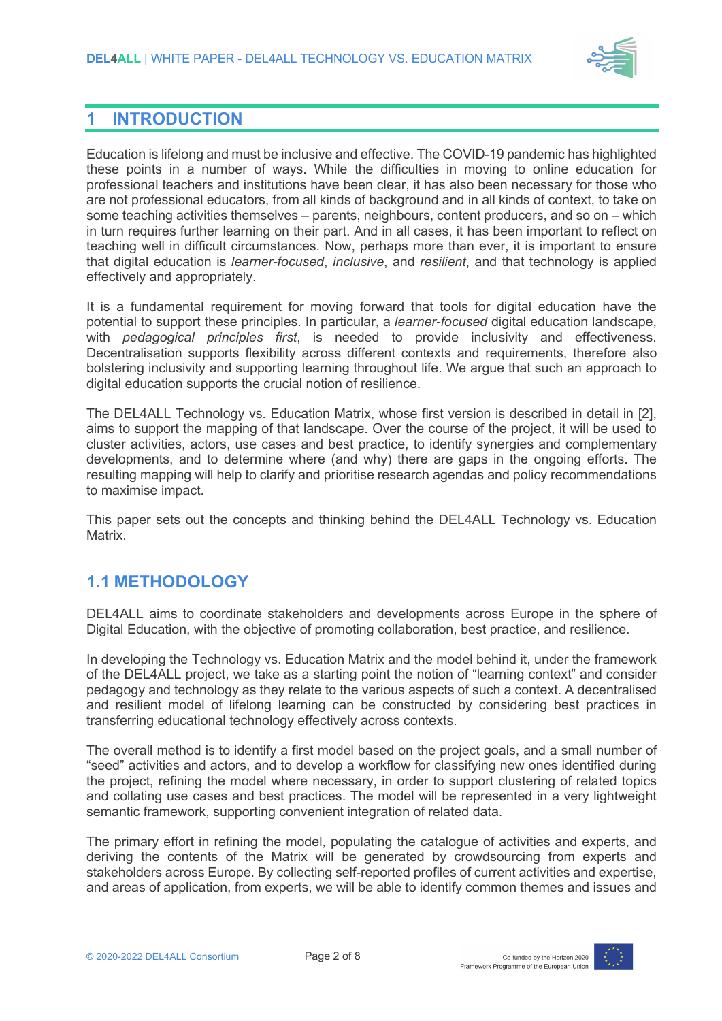

# **1 INTRODUCTION**

Education is lifelong and must be inclusive and effective. The COVID-19 pandemic has highlighted these points in a number of ways. While the difficulties in moving to online education for professional teachers and institutions have been clear, it has also been necessary for those who are not professional educators, from all kinds of background and in all kinds of context, to take on some teaching activities themselves – parents, neighbours, content producers, and so on – which in turn requires further learning on their part. And in all cases, it has been important to reflect on teaching well in difficult circumstances. Now, perhaps more than ever, it is important to ensure that digital education is *learner-focused*, *inclusive*, and *resilient*, and that technology is applied effectively and appropriately.

It is a fundamental requirement for moving forward that tools for digital education have the potential to support these principles. In particular, a *learner-focused* digital education landscape, with *pedagogical principles first*, is needed to provide inclusivity and effectiveness. Decentralisation supports flexibility across different contexts and requirements, therefore also bolstering inclusivity and supporting learning throughout life. We argue that such an approach to digital education supports the crucial notion of resilience.

The DEL4ALL Technology vs. Education Matrix, whose first version is described in detail in [2], aims to support the mapping of that landscape. Over the course of the project, it will be used to cluster activities, actors, use cases and best practice, to identify synergies and complementary developments, and to determine where (and why) there are gaps in the ongoing efforts. The resulting mapping will help to clarify and prioritise research agendas and policy recommendations to maximise impact.

This paper sets out the concepts and thinking behind the DEL4ALL Technology vs. Education Matrix.

### **1.1 METHODOLOGY**

DEL4ALL aims to coordinate stakeholders and developments across Europe in the sphere of Digital Education, with the objective of promoting collaboration, best practice, and resilience.

In developing the Technology vs. Education Matrix and the model behind it, under the framework of the DEL4ALL project, we take as a starting point the notion of "learning context" and consider pedagogy and technology as they relate to the various aspects of such a context. A decentralised and resilient model of lifelong learning can be constructed by considering best practices in transferring educational technology effectively across contexts.

The overall method is to identify a first model based on the project goals, and a small number of "seed" activities and actors, and to develop a workflow for classifying new ones identified during the project, refining the model where necessary, in order to support clustering of related topics and collating use cases and best practices. The model will be represented in a very lightweight semantic framework, supporting convenient integration of related data.

The primary effort in refining the model, populating the catalogue of activities and experts, and deriving the contents of the Matrix will be generated by crowdsourcing from experts and stakeholders across Europe. By collecting self-reported profiles of current activities and expertise, and areas of application, from experts, we will be able to identify common themes and issues and

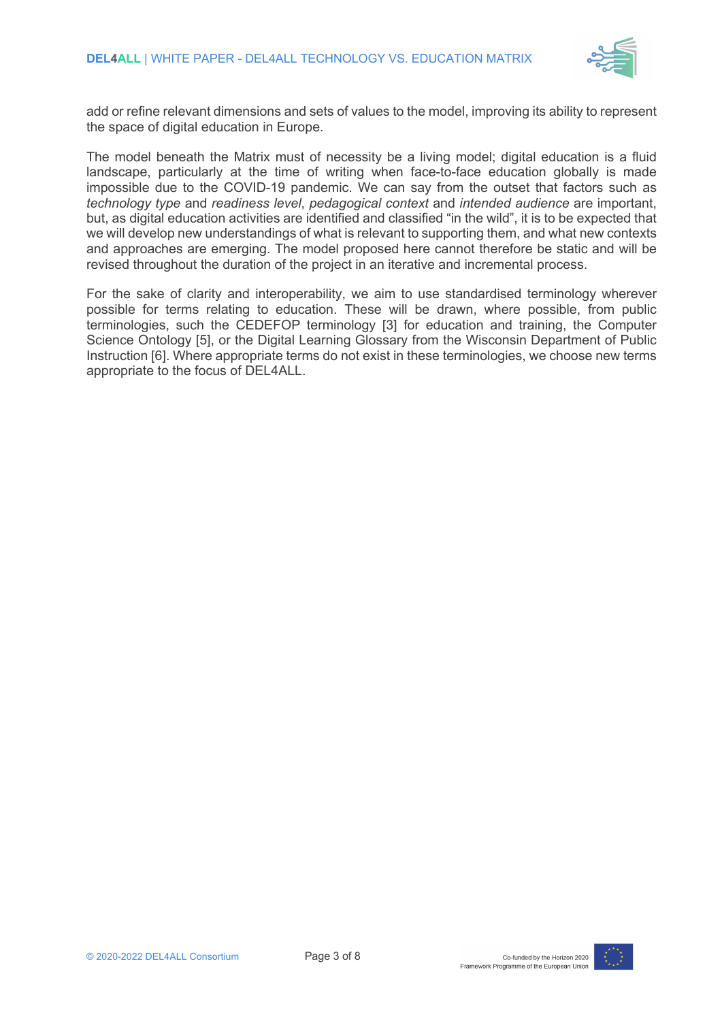

add or refine relevant dimensions and sets of values to the model, improving its ability to represent the space of digital education in Europe.

The model beneath the Matrix must of necessity be a living model; digital education is a fluid landscape, particularly at the time of writing when face-to-face education globally is made impossible due to the COVID-19 pandemic. We can say from the outset that factors such as *technology type* and *readiness level*, *pedagogical context* and *intended audience* are important, but, as digital education activities are identified and classified "in the wild", it is to be expected that we will develop new understandings of what is relevant to supporting them, and what new contexts and approaches are emerging. The model proposed here cannot therefore be static and will be revised throughout the duration of the project in an iterative and incremental process.

For the sake of clarity and interoperability, we aim to use standardised terminology wherever possible for terms relating to education. These will be drawn, where possible, from public terminologies, such the CEDEFOP terminology [3] for education and training, the Computer Science Ontology [5], or the Digital Learning Glossary from the Wisconsin Department of Public Instruction [6]. Where appropriate terms do not exist in these terminologies, we choose new terms appropriate to the focus of DEL4ALL.

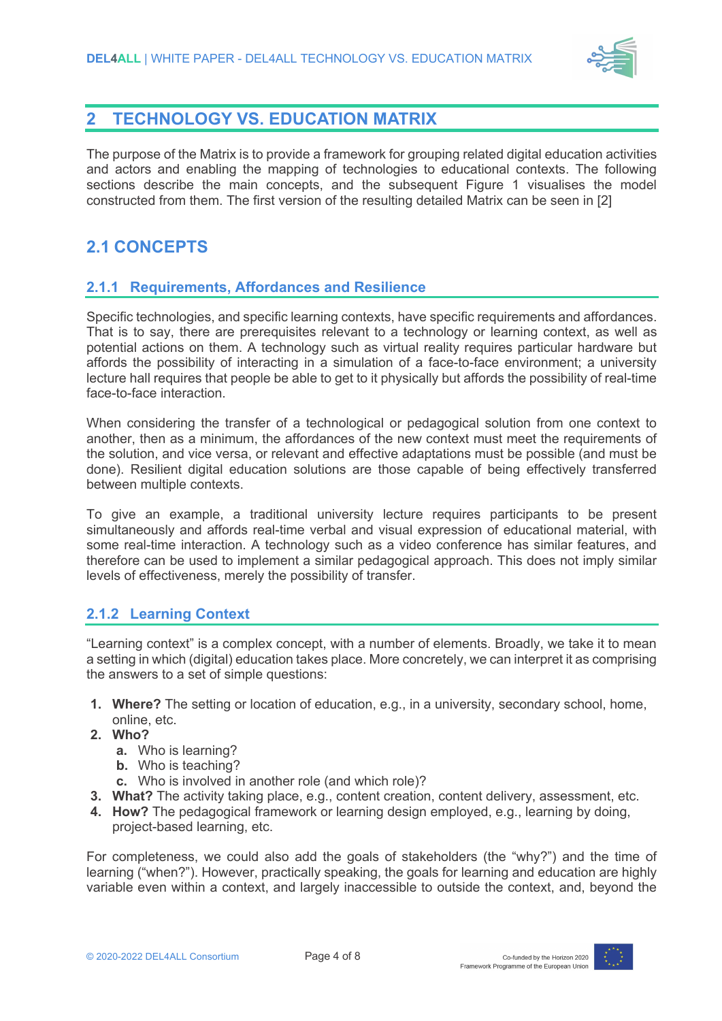

# **2 TECHNOLOGY VS. EDUCATION MATRIX**

The purpose of the Matrix is to provide a framework for grouping related digital education activities and actors and enabling the mapping of technologies to educational contexts. The following sections describe the main concepts, and the subsequent Figure 1 visualises the model constructed from them. The first version of the resulting detailed Matrix can be seen in [2]

# **2.1 CONCEPTS**

#### **2.1.1 Requirements, Affordances and Resilience**

Specific technologies, and specific learning contexts, have specific requirements and affordances. That is to say, there are prerequisites relevant to a technology or learning context, as well as potential actions on them. A technology such as virtual reality requires particular hardware but affords the possibility of interacting in a simulation of a face-to-face environment; a university lecture hall requires that people be able to get to it physically but affords the possibility of real-time face-to-face interaction.

When considering the transfer of a technological or pedagogical solution from one context to another, then as a minimum, the affordances of the new context must meet the requirements of the solution, and vice versa, or relevant and effective adaptations must be possible (and must be done). Resilient digital education solutions are those capable of being effectively transferred between multiple contexts.

To give an example, a traditional university lecture requires participants to be present simultaneously and affords real-time verbal and visual expression of educational material, with some real-time interaction. A technology such as a video conference has similar features, and therefore can be used to implement a similar pedagogical approach. This does not imply similar levels of effectiveness, merely the possibility of transfer.

#### **2.1.2 Learning Context**

"Learning context" is a complex concept, with a number of elements. Broadly, we take it to mean a setting in which (digital) education takes place. More concretely, we can interpret it as comprising the answers to a set of simple questions:

- **1. Where?** The setting or location of education, e.g., in a university, secondary school, home, online, etc.
- **2. Who?**
	- **a.** Who is learning?
	- **b.** Who is teaching?
	- **c.** Who is involved in another role (and which role)?
- **3. What?** The activity taking place, e.g., content creation, content delivery, assessment, etc.
- **4. How?** The pedagogical framework or learning design employed, e.g., learning by doing, project-based learning, etc.

For completeness, we could also add the goals of stakeholders (the "why?") and the time of learning ("when?"). However, practically speaking, the goals for learning and education are highly variable even within a context, and largely inaccessible to outside the context, and, beyond the

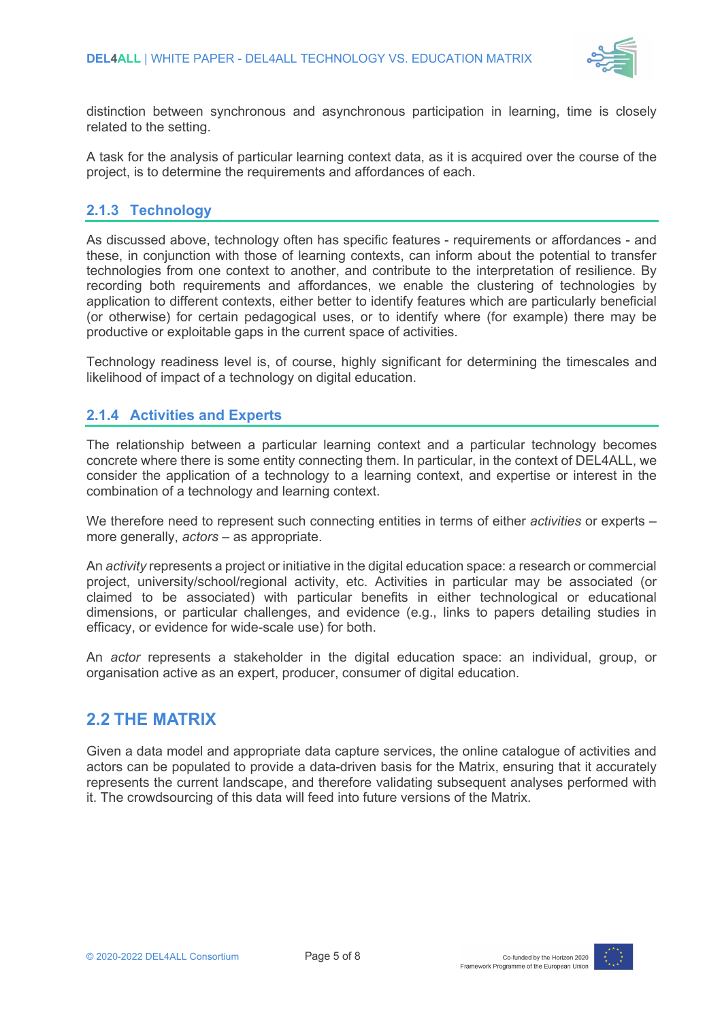

distinction between synchronous and asynchronous participation in learning, time is closely related to the setting.

A task for the analysis of particular learning context data, as it is acquired over the course of the project, is to determine the requirements and affordances of each.

#### **2.1.3 Technology**

As discussed above, technology often has specific features - requirements or affordances - and these, in conjunction with those of learning contexts, can inform about the potential to transfer technologies from one context to another, and contribute to the interpretation of resilience. By recording both requirements and affordances, we enable the clustering of technologies by application to different contexts, either better to identify features which are particularly beneficial (or otherwise) for certain pedagogical uses, or to identify where (for example) there may be productive or exploitable gaps in the current space of activities.

Technology readiness level is, of course, highly significant for determining the timescales and likelihood of impact of a technology on digital education.

#### **2.1.4 Activities and Experts**

The relationship between a particular learning context and a particular technology becomes concrete where there is some entity connecting them. In particular, in the context of DEL4ALL, we consider the application of a technology to a learning context, and expertise or interest in the combination of a technology and learning context.

We therefore need to represent such connecting entities in terms of either *activities* or experts – more generally, *actors* – as appropriate.

An *activity* represents a project or initiative in the digital education space: a research or commercial project, university/school/regional activity, etc. Activities in particular may be associated (or claimed to be associated) with particular benefits in either technological or educational dimensions, or particular challenges, and evidence (e.g., links to papers detailing studies in efficacy, or evidence for wide-scale use) for both.

An *actor* represents a stakeholder in the digital education space: an individual, group, or organisation active as an expert, producer, consumer of digital education.

#### **2.2 THE MATRIX**

Given a data model and appropriate data capture services, the online catalogue of activities and actors can be populated to provide a data-driven basis for the Matrix, ensuring that it accurately represents the current landscape, and therefore validating subsequent analyses performed with it. The crowdsourcing of this data will feed into future versions of the Matrix.

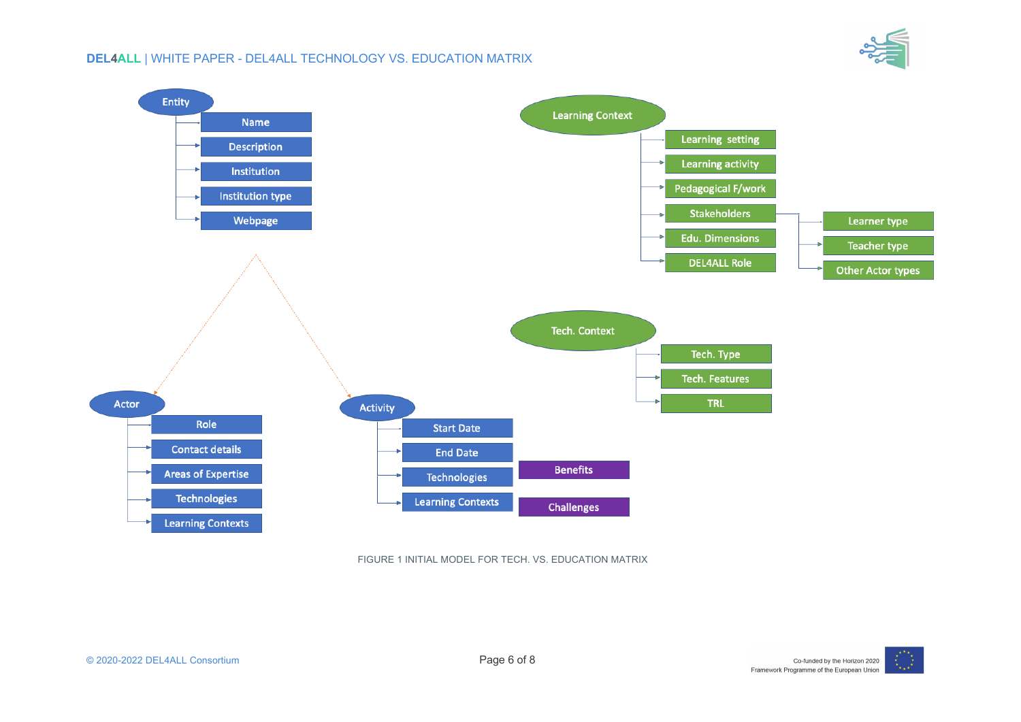

#### **DEL4ALL** | WHITE PAPER - DEL4ALL TECHNOLOGY VS. EDUCATION MATRIX



FIGURE 1 INITIAL MODEL FOR TECH. VS. EDUCATION MATRIX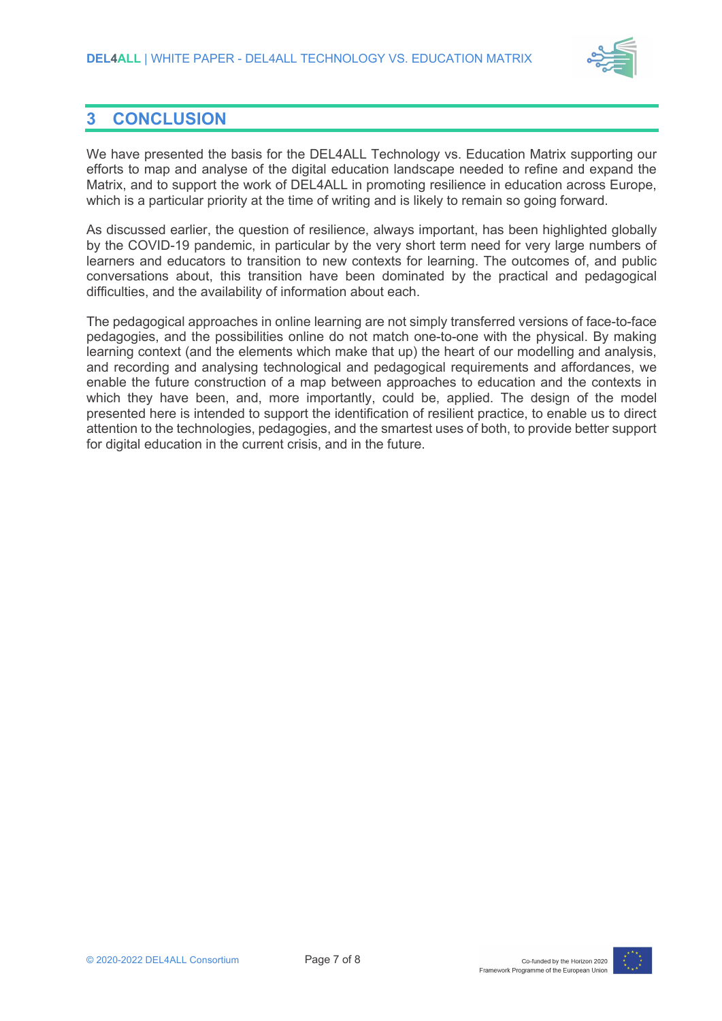

# **3 CONCLUSION**

We have presented the basis for the DEL4ALL Technology vs. Education Matrix supporting our efforts to map and analyse of the digital education landscape needed to refine and expand the Matrix, and to support the work of DEL4ALL in promoting resilience in education across Europe, which is a particular priority at the time of writing and is likely to remain so going forward.

As discussed earlier, the question of resilience, always important, has been highlighted globally by the COVID-19 pandemic, in particular by the very short term need for very large numbers of learners and educators to transition to new contexts for learning. The outcomes of, and public conversations about, this transition have been dominated by the practical and pedagogical difficulties, and the availability of information about each.

The pedagogical approaches in online learning are not simply transferred versions of face-to-face pedagogies, and the possibilities online do not match one-to-one with the physical. By making learning context (and the elements which make that up) the heart of our modelling and analysis, and recording and analysing technological and pedagogical requirements and affordances, we enable the future construction of a map between approaches to education and the contexts in which they have been, and, more importantly, could be, applied. The design of the model presented here is intended to support the identification of resilient practice, to enable us to direct attention to the technologies, pedagogies, and the smartest uses of both, to provide better support for digital education in the current crisis, and in the future.